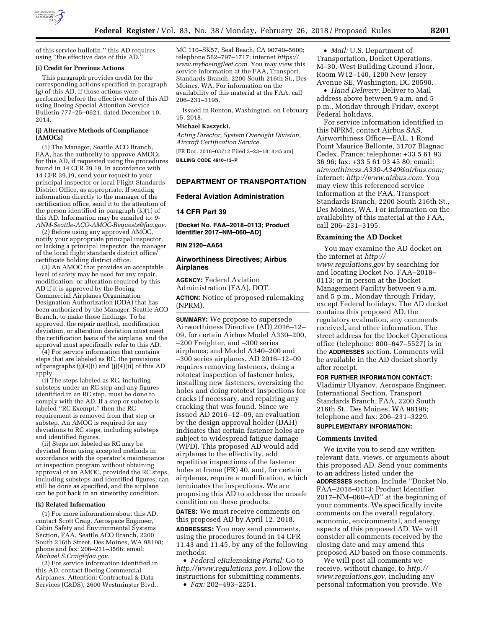

of this service bulletin,'' this AD requires

#### **(i) Credit for Previous Actions**

using ''the effective date of this AD.''

This paragraph provides credit for the corresponding actions specified in paragraph (g) of this AD, if those actions were performed before the effective date of this AD using Boeing Special Attention Service Bulletin 777–25–0621, dated December 10, 2014.

#### **(j) Alternative Methods of Compliance (AMOCs)**

(1) The Manager, Seattle ACO Branch, FAA, has the authority to approve AMOCs for this AD, if requested using the procedures found in 14 CFR 39.19. In accordance with 14 CFR 39.19, send your request to your principal inspector or local Flight Standards District Office, as appropriate. If sending information directly to the manager of the certification office, send it to the attention of the person identified in paragraph (k)(1) of this AD. Information may be emailed to: *[9-](mailto:9-ANM-Seattle-ACO-AMOC-Requests@faa.gov)  [ANM-Seattle-ACO-AMOC-Requests@faa.gov.](mailto:9-ANM-Seattle-ACO-AMOC-Requests@faa.gov)* 

(2) Before using any approved AMOC, notify your appropriate principal inspector, or lacking a principal inspector, the manager of the local flight standards district office/ certificate holding district office.

(3) An AMOC that provides an acceptable level of safety may be used for any repair, modification, or alteration required by this AD if it is approved by the Boeing Commercial Airplanes Organization Designation Authorization (ODA) that has been authorized by the Manager, Seattle ACO Branch, to make those findings. To be approved, the repair method, modification deviation, or alteration deviation must meet the certification basis of the airplane, and the approval must specifically refer to this AD.

(4) For service information that contains steps that are labeled as RC, the provisions of paragraphs (j)(4)(i) and (j)(4)(ii) of this AD apply.

(i) The steps labeled as RC, including substeps under an RC step and any figures identified in an RC step, must be done to comply with the AD. If a step or substep is labeled ''RC Exempt,'' then the RC requirement is removed from that step or substep. An AMOC is required for any deviations to RC steps, including substeps and identified figures.

(ii) Steps not labeled as RC may be deviated from using accepted methods in accordance with the operator's maintenance or inspection program without obtaining approval of an AMOC, provided the RC steps, including substeps and identified figures, can still be done as specified, and the airplane can be put back in an airworthy condition.

#### **(k) Related Information**

(1) For more information about this AD, contact Scott Craig, Aerospace Engineer, Cabin Safety and Environmental Systems Section, FAA, Seattle ACO Branch, 2200 South 216th Street, Des Moines, WA 98198; phone and fax: 206–231–3566; email: *[Michael.S.Craig@faa.gov.](mailto:Michael.S.Craig@faa.gov)* 

(2) For service information identified in this AD, contact Boeing Commercial Airplanes, Attention: Contractual & Data Services (C&DS), 2600 Westminster Blvd.,

MC 110–SK57, Seal Beach, CA 90740–5600; telephone 562–797–1717; internet *[https://](https://www.myboeingfleet.com) [www.myboeingfleet.com.](https://www.myboeingfleet.com)* You may view this service information at the FAA, Transport Standards Branch, 2200 South 216th St., Des Moines, WA. For information on the availability of this material at the FAA, call 206–231–3195.

Issued in Renton, Washington, on February 15, 2018.

# **Michael Kaszycki,**

*Acting Director, System Oversight Division, Aircraft Certification Service.* 

[FR Doc. 2018–03712 Filed 2–23–18; 8:45 am] **BILLING CODE 4910–13–P** 

# **DEPARTMENT OF TRANSPORTATION**

## **Federal Aviation Administration**

### **14 CFR Part 39**

**[Docket No. FAA–2018–0113; Product Identifier 2017–NM–060–AD]** 

### **RIN 2120–AA64**

## **Airworthiness Directives; Airbus Airplanes**

**AGENCY:** Federal Aviation Administration (FAA), DOT. **ACTION:** Notice of proposed rulemaking (NPRM).

**SUMMARY:** We propose to supersede Airworthiness Directive (AD) 2016–12– 09, for certain Airbus Model A330–200, –200 Freighter, and –300 series airplanes; and Model A340–200 and –300 series airplanes. AD 2016–12–09 requires removing fasteners, doing a rototest inspection of fastener holes, installing new fasteners, oversizing the holes and doing rototest inspections for cracks if necessary, and repairing any cracking that was found. Since we issued AD 2016–12–09, an evaluation by the design approval holder (DAH) indicates that certain fastener holes are subject to widespread fatigue damage (WFD). This proposed AD would add airplanes to the effectivity, add repetitive inspections of the fastener holes at frame (FR) 40, and, for certain airplanes, require a modification, which terminates the inspections. We are proposing this AD to address the unsafe condition on these products.

**DATES:** We must receive comments on this proposed AD by April 12, 2018. **ADDRESSES:** You may send comments, using the procedures found in 14 CFR 11.43 and 11.45, by any of the following methods:

• *Federal eRulemaking Portal:* Go to *<http://www.regulations.gov>*. Follow the instructions for submitting comments. • *Fax:* 202–493–2251.

• *Mail:* U.S. Department of Transportation, Docket Operations, M–30, West Building Ground Floor, Room W12–140, 1200 New Jersey Avenue SE, Washington, DC 20590.

• *Hand Delivery:* Deliver to Mail address above between 9 a.m. and 5 p.m., Monday through Friday, except Federal holidays.

For service information identified in this NPRM, contact Airbus SAS, Airworthiness Office—EAL, 1 Rond Point Maurice Bellonte, 31707 Blagnac Cedex, France; telephone: +33 5 61 93 36 96; fax: +33 5 61 93 45 80; email: *[airworthiness.A330-A340@airbus.com;](mailto:airworthiness.A330-A340@airbus.com)*  internet: *<http://www.airbus.com>*. You may view this referenced service information at the FAA, Transport Standards Branch, 2200 South 216th St., Des Moines, WA. For information on the availability of this material at the FAA, call 206–231–3195.

#### **Examining the AD Docket**

You may examine the AD docket on the internet at *[http://](http://www.regulations.gov) [www.regulations.gov](http://www.regulations.gov)* by searching for and locating Docket No. FAA–2018– 0113; or in person at the Docket Management Facility between 9 a.m. and 5 p.m., Monday through Friday, except Federal holidays. The AD docket contains this proposed AD, the regulatory evaluation, any comments received, and other information. The street address for the Docket Operations office (telephone: 800–647–5527) is in the **ADDRESSES** section. Comments will be available in the AD docket shortly after receipt.

#### **FOR FURTHER INFORMATION CONTACT:**

Vladimir Ulyanov, Aerospace Engineer, International Section, Transport Standards Branch, FAA, 2200 South 216th St., Des Moines, WA 98198; telephone and fax: 206–231–3229.

# **SUPPLEMENTARY INFORMATION:**

### **Comments Invited**

We invite you to send any written relevant data, views, or arguments about this proposed AD. Send your comments to an address listed under the **ADDRESSES** section. Include ''Docket No. FAA–2018–0113; Product Identifier 2017–NM–060–AD'' at the beginning of your comments. We specifically invite comments on the overall regulatory, economic, environmental, and energy aspects of this proposed AD. We will consider all comments received by the closing date and may amend this proposed AD based on those comments.

We will post all comments we receive, without change, to *[http://](http://www.regulations.gov) [www.regulations.gov,](http://www.regulations.gov)* including any personal information you provide. We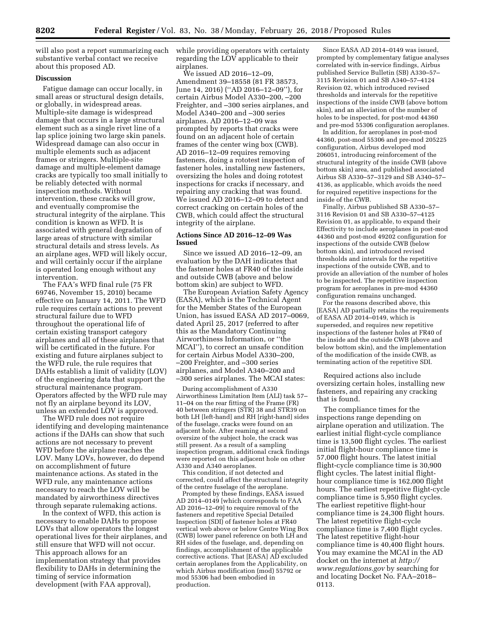will also post a report summarizing each substantive verbal contact we receive about this proposed AD.

### **Discussion**

Fatigue damage can occur locally, in small areas or structural design details, or globally, in widespread areas. Multiple-site damage is widespread damage that occurs in a large structural element such as a single rivet line of a lap splice joining two large skin panels. Widespread damage can also occur in multiple elements such as adjacent frames or stringers. Multiple-site damage and multiple-element damage cracks are typically too small initially to be reliably detected with normal inspection methods. Without intervention, these cracks will grow, and eventually compromise the structural integrity of the airplane. This condition is known as WFD. It is associated with general degradation of large areas of structure with similar structural details and stress levels. As an airplane ages, WFD will likely occur, and will certainly occur if the airplane is operated long enough without any intervention.

The FAA's WFD final rule (75 FR 69746, November 15, 2010) became effective on January 14, 2011. The WFD rule requires certain actions to prevent structural failure due to WFD throughout the operational life of certain existing transport category airplanes and all of these airplanes that will be certificated in the future. For existing and future airplanes subject to the WFD rule, the rule requires that DAHs establish a limit of validity (LOV) of the engineering data that support the structural maintenance program. Operators affected by the WFD rule may not fly an airplane beyond its LOV, unless an extended LOV is approved.

The WFD rule does not require identifying and developing maintenance actions if the DAHs can show that such actions are not necessary to prevent WFD before the airplane reaches the LOV. Many LOVs, however, do depend on accomplishment of future maintenance actions. As stated in the WFD rule, any maintenance actions necessary to reach the LOV will be mandated by airworthiness directives through separate rulemaking actions.

In the context of WFD, this action is necessary to enable DAHs to propose LOVs that allow operators the longest operational lives for their airplanes, and still ensure that WFD will not occur. This approach allows for an implementation strategy that provides flexibility to DAHs in determining the timing of service information development (with FAA approval),

while providing operators with certainty regarding the LOV applicable to their airplanes.

We issued AD 2016–12–09, Amendment 39–18558 (81 FR 38573, June 14, 2016) (''AD 2016–12–09''), for certain Airbus Model A330–200, –200 Freighter, and –300 series airplanes, and Model A340–200 and –300 series airplanes. AD 2016–12–09 was prompted by reports that cracks were found on an adjacent hole of certain frames of the center wing box (CWB). AD 2016–12–09 requires removing fasteners, doing a rototest inspection of fastener holes, installing new fasteners, oversizing the holes and doing rototest inspections for cracks if necessary, and repairing any cracking that was found. We issued AD 2016–12–09 to detect and correct cracking on certain holes of the CWB, which could affect the structural integrity of the airplane.

# **Actions Since AD 2016–12–09 Was Issued**

Since we issued AD 2016–12–09, an evaluation by the DAH indicates that the fastener holes at FR40 of the inside and outside CWB (above and below bottom skin) are subject to WFD.

The European Aviation Safety Agency (EASA), which is the Technical Agent for the Member States of the European Union, has issued EASA AD 2017–0069, dated April 25, 2017 (referred to after this as the Mandatory Continuing Airworthiness Information, or ''the MCAI''), to correct an unsafe condition for certain Airbus Model A330–200, –200 Freighter, and –300 series airplanes, and Model A340–200 and –300 series airplanes. The MCAI states:

During accomplishment of A330 Airworthiness Limitation Item (ALI) task 57– 11–04 on the rear fitting of the Frame (FR) 40 between stringers (STR) 38 and STR39 on both LH [left-hand] and RH [right-hand] sides of the fuselage, cracks were found on an adjacent hole. After reaming at second oversize of the subject hole, the crack was still present. As a result of a sampling inspection program, additional crack findings were reported on this adjacent hole on other A330 and A340 aeroplanes.

This condition, if not detected and corrected, could affect the structural integrity of the centre fuselage of the aeroplane.

Prompted by these findings, EASA issued AD 2014–0149 [which corresponds to FAA AD 2016–12–09] to require removal of the fasteners and repetitive Special Detailed Inspection (SDI) of fastener holes at FR40 vertical web above or below Centre Wing Box (CWB) lower panel reference on both LH and RH sides of the fuselage, and, depending on findings, accomplishment of the applicable corrective actions. That [EASA] AD excluded certain aeroplanes from the Applicability, on which Airbus modification (mod) 55792 or mod 55306 had been embodied in production.

Since EASA AD 2014–0149 was issued, prompted by complementary fatigue analyses correlated with in-service findings, Airbus published Service Bulletin (SB) A330–57– 3115 Revision 01 and SB A340–57–4124 Revision 02, which introduced revised thresholds and intervals for the repetitive inspections of the inside CWB (above bottom skin), and an alleviation of the number of holes to be inspected, for post-mod 44360 and pre-mod 55306 configuration aeroplanes.

In addition, for aeroplanes in post-mod 44360, post-mod 55306 and pre-mod 205225 configuration, Airbus developed mod 206051, introducing reinforcement of the structural integrity of the inside CWB (above bottom skin) area, and published associated Airbus SB A330–57–3129 and SB A340–57– 4136, as applicable, which avoids the need for required repetitive inspections for the inside of the CWB.

Finally, Airbus published SB A330–57– 3116 Revision 01 and SB A330–57–4125 Revision 01, as applicable, to expand their Effectivity to include aeroplanes in post-mod 44360 and post-mod 49202 configuration for inspections of the outside CWB (below bottom skin), and introduced revised thresholds and intervals for the repetitive inspections of the outside CWB, and to provide an alleviation of the number of holes to be inspected. The repetitive inspection program for aeroplanes in pre-mod 44360 configuration remains unchanged.

For the reasons described above, this [EASA] AD partially retains the requirements of EASA AD 2014–0149, which is superseded, and requires new repetitive inspections of the fastener holes at FR40 of the inside and the outside CWB (above and below bottom skin), and the implementation of the modification of the inside CWB, as terminating action of the repetitive SDI.

Required actions also include oversizing certain holes, installing new fasteners, and repairing any cracking that is found.

The compliance times for the inspections range depending on airplane operation and utilization. The earliest initial flight-cycle compliance time is 13,500 flight cycles. The earliest initial flight-hour compliance time is 57,000 flight hours. The latest initial flight-cycle compliance time is 30,900 flight cycles. The latest initial flighthour compliance time is 162,000 flight hours. The earliest repetitive flight-cycle compliance time is 5,950 flight cycles. The earliest repetitive flight-hour compliance time is 24,300 flight hours. The latest repetitive flight-cycle compliance time is 7,400 flight cycles. The latest repetitive flight-hour compliance time is 40,400 flight hours. You may examine the MCAI in the AD docket on the internet at *[http://](http://www.regulations.gov) [www.regulations.gov](http://www.regulations.gov)* by searching for and locating Docket No. FAA–2018– 0113.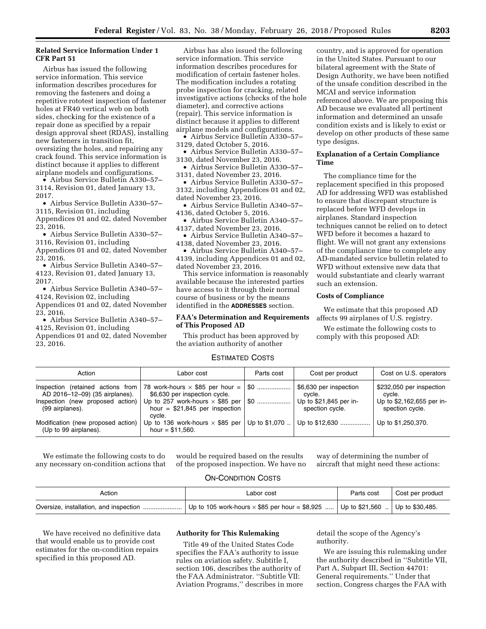# **Related Service Information Under 1 CFR Part 51**

Airbus has issued the following service information. This service information describes procedures for removing the fasteners and doing a repetitive rototest inspection of fastener holes at FR40 vertical web on both sides, checking for the existence of a repair done as specified by a repair design approval sheet (RDAS), installing new fasteners in transition fit, oversizing the holes, and repairing any crack found. This service information is distinct because it applies to different airplane models and configurations.

• Airbus Service Bulletin A330–57– 3114, Revision 01, dated January 13, 2017.

• Airbus Service Bulletin A330–57– 3115, Revision 01, including

Appendices 01 and 02, dated November 23, 2016. • Airbus Service Bulletin A330–57–

3116, Revision 01, including

Appendices 01 and 02, dated November 23, 2016.

• Airbus Service Bulletin A340–57– 4123, Revision 01, dated January 13, 2017.

• Airbus Service Bulletin A340–57– 4124, Revision 02, including Appendices 01 and 02, dated November 23, 2016.

• Airbus Service Bulletin A340–57– 4125, Revision 01, including

Appendices 01 and 02, dated November 23, 2016.

Airbus has also issued the following service information. This service information describes procedures for modification of certain fastener holes. The modification includes a rotating probe inspection for cracking, related investigative actions (checks of the hole diameter), and corrective actions (repair). This service information is distinct because it applies to different airplane models and configurations.

• Airbus Service Bulletin A330–57– 3129, dated October 5, 2016.

• Airbus Service Bulletin A330–57– 3130, dated November 23, 2016.

• Airbus Service Bulletin A330–57– 3131, dated November 23, 2016.

• Airbus Service Bulletin A330–57– 3132, including Appendices 01 and 02, dated November 23, 2016.

• Airbus Service Bulletin A340–57– 4136, dated October 5, 2016.

• Airbus Service Bulletin A340–57– 4137, dated November 23, 2016.

• Airbus Service Bulletin A340–57– 4138, dated November 23, 2016.

• Airbus Service Bulletin A340–57– 4139, including Appendices 01 and 02, dated November 23, 2016.

This service information is reasonably available because the interested parties have access to it through their normal course of business or by the means identified in the **ADDRESSES** section.

# **FAA's Determination and Requirements of This Proposed AD**

This product has been approved by the aviation authority of another

country, and is approved for operation in the United States. Pursuant to our bilateral agreement with the State of Design Authority, we have been notified of the unsafe condition described in the MCAI and service information referenced above. We are proposing this AD because we evaluated all pertinent information and determined an unsafe condition exists and is likely to exist or develop on other products of these same type designs.

## **Explanation of a Certain Compliance Time**

The compliance time for the replacement specified in this proposed AD for addressing WFD was established to ensure that discrepant structure is replaced before WFD develops in airplanes. Standard inspection techniques cannot be relied on to detect WFD before it becomes a hazard to flight. We will not grant any extensions of the compliance time to complete any AD-mandated service bulletin related to WFD without extensive new data that would substantiate and clearly warrant such an extension.

# **Costs of Compliance**

We estimate that this proposed AD affects 99 airplanes of U.S. registry.

We estimate the following costs to comply with this proposed AD:

# ESTIMATED COSTS

| Action                                                                                                                     | Labor cost                                                                                                                                                       | Parts cost     | Cost per product                                                              | Cost on U.S. operators                                                             |
|----------------------------------------------------------------------------------------------------------------------------|------------------------------------------------------------------------------------------------------------------------------------------------------------------|----------------|-------------------------------------------------------------------------------|------------------------------------------------------------------------------------|
| Inspection (retained actions from<br>AD 2016-12-09) (35 airplanes).<br>Inspection (new proposed action)<br>(99 airplanes). | 78 work-hours $\times$ \$85 per hour =  <br>\$6,630 per inspection cycle.<br>Up to 257 work-hours $\times$ \$85 per<br>hour = $$21,845$ per inspection<br>cvcle. | . \$0<br>. \$0 | \$6,630 per inspection<br>cvcle.<br>Up to \$21,845 per in-<br>spection cycle. | \$232,050 per inspection<br>cvcle.<br>Up to \$2,162,655 per in-<br>spection cycle. |
| Modification (new proposed action)<br>(Up to 99 airplanes).                                                                | Up to 136 work-hours $\times$ \$85 per<br>hour = $$11,560$ .                                                                                                     | Up to \$1,070  | Up to \$12,630                                                                | Up to \$1,250,370.                                                                 |

We estimate the following costs to do any necessary on-condition actions that

would be required based on the results of the proposed inspection. We have no

way of determining the number of aircraft that might need these actions:

# ON-CONDITION COSTS

| Action | Labor cost                                                                                     | Parts cost | Cost per product |
|--------|------------------------------------------------------------------------------------------------|------------|------------------|
|        | .   Up to 105 work-hours $\times$ \$85 per hour = \$8,925    Up to \$21,560    Up to \$30,485. |            |                  |

We have received no definitive data that would enable us to provide cost estimates for the on-condition repairs specified in this proposed AD.

# **Authority for This Rulemaking**

Title 49 of the United States Code specifies the FAA's authority to issue rules on aviation safety. Subtitle I, section 106, describes the authority of the FAA Administrator. ''Subtitle VII: Aviation Programs,'' describes in more

detail the scope of the Agency's authority.

We are issuing this rulemaking under the authority described in ''Subtitle VII, Part A, Subpart III, Section 44701: General requirements.'' Under that section, Congress charges the FAA with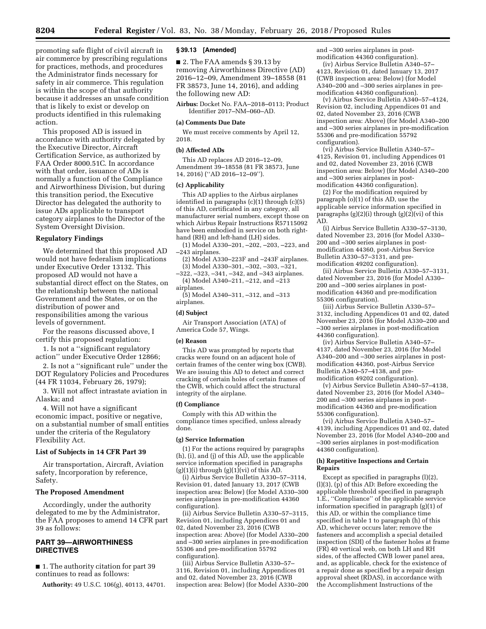promoting safe flight of civil aircraft in air commerce by prescribing regulations for practices, methods, and procedures the Administrator finds necessary for safety in air commerce. This regulation is within the scope of that authority because it addresses an unsafe condition that is likely to exist or develop on products identified in this rulemaking action.

This proposed AD is issued in accordance with authority delegated by the Executive Director, Aircraft Certification Service, as authorized by FAA Order 8000.51C. In accordance with that order, issuance of ADs is normally a function of the Compliance and Airworthiness Division, but during this transition period, the Executive Director has delegated the authority to issue ADs applicable to transport category airplanes to the Director of the System Oversight Division.

# **Regulatory Findings**

We determined that this proposed AD would not have federalism implications under Executive Order 13132. This proposed AD would not have a substantial direct effect on the States, on the relationship between the national Government and the States, or on the distribution of power and responsibilities among the various levels of government.

For the reasons discussed above, I certify this proposed regulation:

1. Is not a ''significant regulatory action'' under Executive Order 12866;

2. Is not a ''significant rule'' under the DOT Regulatory Policies and Procedures (44 FR 11034, February 26, 1979);

3. Will not affect intrastate aviation in Alaska; and

4. Will not have a significant economic impact, positive or negative, on a substantial number of small entities under the criteria of the Regulatory Flexibility Act.

#### **List of Subjects in 14 CFR Part 39**

Air transportation, Aircraft, Aviation safety, Incorporation by reference, Safety.

## **The Proposed Amendment**

Accordingly, under the authority delegated to me by the Administrator, the FAA proposes to amend 14 CFR part 39 as follows:

# **PART 39—AIRWORTHINESS DIRECTIVES**

■ 1. The authority citation for part 39 continues to read as follows:

**Authority:** 49 U.S.C. 106(g), 40113, 44701.

### **§ 39.13 [Amended]**

■ 2. The FAA amends § 39.13 by removing Airworthiness Directive (AD) 2016–12–09, Amendment 39–18558 (81 FR 38573, June 14, 2016), and adding the following new AD:

**Airbus:** Docket No. FAA–2018–0113; Product Identifier 2017–NM–060–AD.

#### **(a) Comments Due Date**

We must receive comments by April 12, 2018.

#### **(b) Affected ADs**

This AD replaces AD 2016–12–09, Amendment 39–18558 (81 FR 38573, June 14, 2016) (''AD 2016–12–09'').

#### **(c) Applicability**

This AD applies to the Airbus airplanes identified in paragraphs (c)(1) through (c)(5) of this AD, certificated in any category, all manufacturer serial numbers, except those on which Airbus Repair Instructions R57115092 have been embodied in service on both righthand (RH) and left-hand (LH) sides.

(1) Model A330–201, –202, –203, –223, and –243 airplanes.

(2) Model A330–223F and –243F airplanes. (3) Model A330–301, –302, –303, –321,

–322, –323, –341, –342, and –343 airplanes. (4) Model A340–211, –212, and –213 airplanes.

(5) Model A340–311, –312, and –313 airplanes.

# **(d) Subject**

Air Transport Association (ATA) of America Code 57, Wings.

# **(e) Reason**

This AD was prompted by reports that cracks were found on an adjacent hole of certain frames of the center wing box (CWB). We are issuing this AD to detect and correct cracking of certain holes of certain frames of the CWB, which could affect the structural integrity of the airplane.

## **(f) Compliance**

Comply with this AD within the compliance times specified, unless already done.

#### **(g) Service Information**

(1) For the actions required by paragraphs (h), (i), and (j) of this AD, use the applicable service information specified in paragraphs  $(g)(1)(i)$  through  $(g)(1)(vi)$  of this AD.

(i) Airbus Service Bulletin A330–57–3114, Revision 01, dated January 13, 2017 (CWB inspection area: Below) (for Model A330–300 series airplanes in pre-modification 44360 configuration).

(ii) Airbus Service Bulletin A330–57–3115, Revision 01, including Appendices 01 and 02, dated November 23, 2016 (CWB inspection area: Above) (for Model A330–200 and –300 series airplanes in pre-modification 55306 and pre-modification 55792 configuration).

(iii) Airbus Service Bulletin A330–57– 3116, Revision 01, including Appendices 01 and 02, dated November 23, 2016 (CWB inspection area: Below) (for Model A330–200

and –300 series airplanes in postmodification 44360 configuration).

(iv) Airbus Service Bulletin A340–57– 4123, Revision 01, dated January 13, 2017 (CWB inspection area: Below) (for Model A340–200 and –300 series airplanes in premodification 44360 configuration).

(v) Airbus Service Bulletin A340–57–4124, Revision 02, including Appendices 01 and 02, dated November 23, 2016 (CWB inspection area: Above) (for Model A340–200 and –300 series airplanes in pre-modification 55306 and pre-modification 55792 configuration).

(vi) Airbus Service Bulletin A340–57– 4125, Revision 01, including Appendices 01 and 02, dated November 23, 2016 (CWB inspection area: Below) (for Model A340–200 and –300 series airplanes in postmodification 44360 configuration).

(2) For the modification required by paragraph (o)(1) of this AD, use the applicable service information specified in paragraphs  $(g)(2)(i)$  through  $(g)(2)(vi)$  of this AD.

(i) Airbus Service Bulletin A330–57–3130, dated November 23, 2016 (for Model A330– 200 and –300 series airplanes in postmodification 44360, post-Airbus Service Bulletin A330–57–3131, and premodification 49202 configuration).

(ii) Airbus Service Bulletin A330–57–3131, dated November 23, 2016 (for Model A330– 200 and –300 series airplanes in postmodification 44360 and pre-modification 55306 configuration).

(iii) Airbus Service Bulletin A330–57– 3132, including Appendices 01 and 02, dated November 23, 2016 (for Model A330–200 and –300 series airplanes in post-modification 44360 configuration).

(iv) Airbus Service Bulletin A340–57– 4137, dated November 23, 2016 (for Model A340–200 and –300 series airplanes in postmodification 44360, post-Airbus Service Bulletin A340–57–4138, and premodification 49202 configuration).

(v) Airbus Service Bulletin A340–57–4138, dated November 23, 2016 (for Model A340– 200 and –300 series airplanes in postmodification 44360 and pre-modification 55306 configuration).

(vi) Airbus Service Bulletin A340–57– 4139, including Appendices 01 and 02, dated November 23, 2016 (for Model A340–200 and –300 series airplanes in post-modification 44360 configuration).

#### **(h) Repetitive Inspections and Certain Repairs**

Except as specified in paragraphs (l)(2), (l)(3), (p) of this AD: Before exceeding the applicable threshold specified in paragraph 1.E., ''Compliance'' of the applicable service information specified in paragraph (g)(1) of this AD, or within the compliance time specified in table 1 to paragraph (h) of this AD, whichever occurs later; remove the fasteners and accomplish a special detailed inspection (SDI) of the fastener holes at frame (FR) 40 vertical web, on both LH and RH sides, of the affected CWB lower panel area, and, as applicable, check for the existence of a repair done as specified by a repair design approval sheet (RDAS), in accordance with the Accomplishment Instructions of the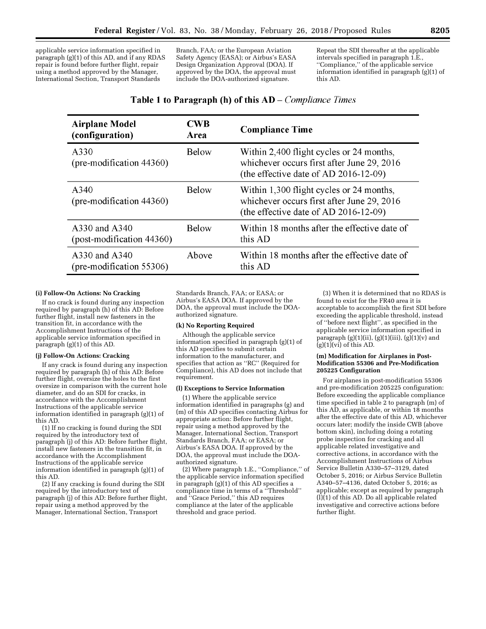applicable service information specified in paragraph (g)(1) of this AD, and if any RDAS repair is found before further flight, repair using a method approved by the Manager, International Section, Transport Standards

Branch, FAA; or the European Aviation Safety Agency (EASA); or Airbus's EASA Design Organization Approval (DOA). If approved by the DOA, the approval must include the DOA-authorized signature.

Repeat the SDI thereafter at the applicable intervals specified in paragraph 1.E., ''Compliance,'' of the applicable service information identified in paragraph (g)(1) of this AD.

# **Table 1 to Paragraph (h) of this**  $AD - Compliance$  **Times**

| <b>Airplane Model</b><br>(configuration)     | <b>CWB</b><br>Area | <b>Compliance Time</b>                                                                                                          |
|----------------------------------------------|--------------------|---------------------------------------------------------------------------------------------------------------------------------|
| A330<br>$(\text{pre-modification } 44360)$   | Below              | Within 2,400 flight cycles or 24 months,<br>whichever occurs first after June 29, 2016<br>(the effective date of AD 2016-12-09) |
| A340<br>$(\text{pre-modification } 44360)$   | Below              | Within 1,300 flight cycles or 24 months,<br>whichever occurs first after June 29, 2016<br>(the effective date of AD 2016-12-09) |
| A330 and A340<br>$(post-modification 44360)$ | Below              | Within 18 months after the effective date of<br>this AD                                                                         |
| A330 and A340<br>(pre-modification 55306)    | Above              | Within 18 months after the effective date of<br>this AD                                                                         |

## **(i) Follow-On Actions: No Cracking**

If no crack is found during any inspection required by paragraph (h) of this AD: Before further flight, install new fasteners in the transition fit, in accordance with the Accomplishment Instructions of the applicable service information specified in paragraph (g)(1) of this AD.

#### **(j) Follow-On Actions: Cracking**

If any crack is found during any inspection required by paragraph (h) of this AD: Before further flight, oversize the holes to the first oversize in comparison with the current hole diameter, and do an SDI for cracks, in accordance with the Accomplishment Instructions of the applicable service information identified in paragraph (g)(1) of this AD.

(1) If no cracking is found during the SDI required by the introductory text of paragraph (j) of this AD: Before further flight, install new fasteners in the transition fit, in accordance with the Accomplishment Instructions of the applicable service information identified in paragraph (g)(1) of this AD.

(2) If any cracking is found during the SDI required by the introductory text of paragraph (j) of this AD: Before further flight, repair using a method approved by the Manager, International Section, Transport

Standards Branch, FAA; or EASA; or Airbus's EASA DOA. If approved by the DOA, the approval must include the DOAauthorized signature.

### **(k) No Reporting Required**

Although the applicable service information specified in paragraph (g)(1) of this AD specifies to submit certain information to the manufacturer, and specifies that action as ''RC'' (Required for Compliance), this AD does not include that requirement.

### **(l) Exceptions to Service Information**

(1) Where the applicable service information identified in paragraphs (g) and (m) of this AD specifies contacting Airbus for appropriate action: Before further flight, repair using a method approved by the Manager, International Section, Transport Standards Branch, FAA; or EASA; or Airbus's EASA DOA. If approved by the DOA, the approval must include the DOAauthorized signature.

(2) Where paragraph 1.E., ''Compliance,'' of the applicable service information specified in paragraph (g)(1) of this AD specifies a compliance time in terms of a ''Threshold'' and ''Grace Period,'' this AD requires compliance at the later of the applicable threshold and grace period.

(3) When it is determined that no RDAS is found to exist for the FR40 area it is acceptable to accomplish the first SDI before exceeding the applicable threshold, instead of ''before next flight'', as specified in the applicable service information specified in paragraph  $(g)(1)(ii)$ ,  $(g)(1)(iii)$ ,  $(g)(1)(v)$  and  $(g)(1)(vi)$  of this AD.

### **(m) Modification for Airplanes in Post-Modification 55306 and Pre-Modification 205225 Configuration**

For airplanes in post-modification 55306 and pre-modification 205225 configuration: Before exceeding the applicable compliance time specified in table 2 to paragraph (m) of this AD, as applicable, or within 18 months after the effective date of this AD, whichever occurs later; modify the inside CWB (above bottom skin), including doing a rotating probe inspection for cracking and all applicable related investigative and corrective actions, in accordance with the Accomplishment Instructions of Airbus Service Bulletin A330–57–3129, dated October 5, 2016; or Airbus Service Bulletin A340–57–4136, dated October 5, 2016; as applicable; except as required by paragraph  $(l)$ (1) of this AD. Do all applicable related investigative and corrective actions before further flight.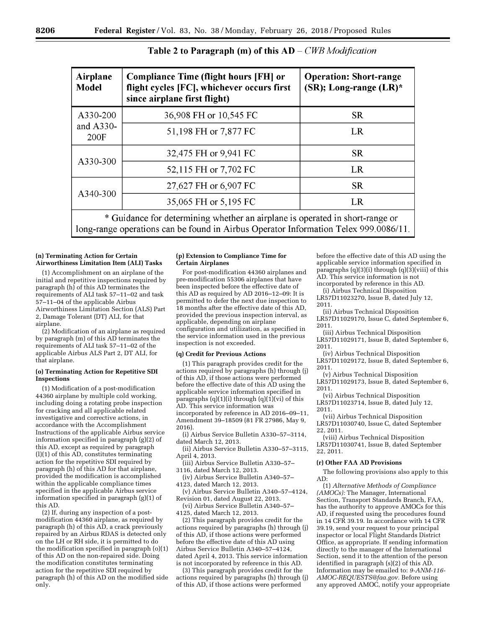| Airplane<br><b>Model</b>                                                   | <b>Compliance Time (flight hours [FH] or</b><br>flight cycles [FC], whichever occurs first<br>since airplane first flight) | <b>Operation: Short-range</b><br>(SR); Long-range (LR)* |  |  |
|----------------------------------------------------------------------------|----------------------------------------------------------------------------------------------------------------------------|---------------------------------------------------------|--|--|
| A330-200<br>and $A330-$<br>200F                                            | 36,908 FH or 10,545 FC                                                                                                     | <b>SR</b>                                               |  |  |
|                                                                            | 51,198 FH or 7,877 FC                                                                                                      | LR                                                      |  |  |
| A330-300                                                                   | 32,475 FH or 9,941 FC                                                                                                      | <b>SR</b>                                               |  |  |
|                                                                            | 52,115 FH or 7,702 FC                                                                                                      | LR                                                      |  |  |
| A340-300                                                                   | 27,627 FH or 6,907 FC                                                                                                      | <b>SR</b>                                               |  |  |
|                                                                            | 35,065 FH or 5,195 FC                                                                                                      | <b>LR</b>                                               |  |  |
| * Guidance for determining whether an eighteen is energy in short range or |                                                                                                                            |                                                         |  |  |

# Table 2 to Paragraph (m) of this  $AD - CWB$  *Modification*

Guidance for determining whether an airplane is operated in short-range or long-range operations can be found in Airbus Operator Information Telex 999.0086/11.

#### **(n) Terminating Action for Certain Airworthiness Limitation Item (ALI) Tasks**

(1) Accomplishment on an airplane of the initial and repetitive inspections required by paragraph (h) of this AD terminates the requirements of ALI task 57–11–02 and task 57–11–04 of the applicable Airbus Airworthiness Limitation Section (ALS) Part 2, Damage Tolerant (DT) ALI, for that airplane.

(2) Modification of an airplane as required by paragraph (m) of this AD terminates the requirements of ALI task 57–11–02 of the applicable Airbus ALS Part 2, DT ALI, for that airplane.

### **(o) Terminating Action for Repetitive SDI Inspections**

(1) Modification of a post-modification 44360 airplane by multiple cold working, including doing a rotating probe inspection for cracking and all applicable related investigative and corrective actions, in accordance with the Accomplishment Instructions of the applicable Airbus service information specified in paragraph (g)(2) of this AD, except as required by paragraph (l)(1) of this AD, constitutes terminating action for the repetitive SDI required by paragraph (h) of this AD for that airplane, provided the modification is accomplished within the applicable compliance times specified in the applicable Airbus service information specified in paragraph (g)(1) of this AD.

(2) If, during any inspection of a postmodification 44360 airplane, as required by paragraph (h) of this AD, a crack previously repaired by an Airbus RDAS is detected only on the LH or RH side, it is permitted to do the modification specified in paragraph (o)(1) of this AD on the non-repaired side. Doing the modification constitutes terminating action for the repetitive SDI required by paragraph (h) of this AD on the modified side only.

### **(p) Extension to Compliance Time for Certain Airplanes**

For post-modification 44360 airplanes and pre-modification 55306 airplanes that have been inspected before the effective date of this AD as required by AD 2016–12–09: It is permitted to defer the next due inspection to 18 months after the effective date of this AD, provided the previous inspection interval, as applicable, depending on airplane configuration and utilization, as specified in the service information used in the previous inspection is not exceeded.

## **(q) Credit for Previous Actions**

(1) This paragraph provides credit for the actions required by paragraphs (h) through (j) of this AD, if those actions were performed before the effective date of this AD using the applicable service information specified in paragraphs (q)(1)(i) through (q)(1)(vi) of this AD. This service information was incorporated by reference in AD 2016–09–11, Amendment 39–18509 (81 FR 27986, May 9, 2016).

(i) Airbus Service Bulletin A330–57–3114, dated March 12, 2013.

(ii) Airbus Service Bulletin A330–57–3115, April 4, 2013.

(iii) Airbus Service Bulletin A330–57– 3116, dated March 12, 2013.

(iv) Airbus Service Bulletin A340–57– 4123, dated March 12, 2013.

(v) Airbus Service Bulletin A340–57–4124, Revision 01, dated August 22, 2013.

(vi) Airbus Service Bulletin A340–57– 4125, dated March 12, 2013.

(2) This paragraph provides credit for the actions required by paragraphs (h) through (j) of this AD, if those actions were performed before the effective date of this AD using Airbus Service Bulletin A340–57–4124, dated April 4, 2013. This service information is not incorporated by reference in this AD.

(3) This paragraph provides credit for the actions required by paragraphs (h) through (j) of this AD, if those actions were performed

before the effective date of this AD using the applicable service information specified in paragraphs  $(q)(3)(i)$  through  $(q)(3)(vii)$  of this AD. This service information is not incorporated by reference in this AD.

(i) Airbus Technical Disposition LR57D11023270, Issue B, dated July 12, 2011.

(ii) Airbus Technical Disposition

LR57D11029170, Issue C, dated September 6, 2011.

(iii) Airbus Technical Disposition LR57D11029171, Issue B, dated September 6, 2011.

(iv) Airbus Technical Disposition

LR57D11029172, Issue B, dated September 6, 2011.

(v) Airbus Technical Disposition LR57D11029173, Issue B, dated September 6,

2011. (vi) Airbus Technical Disposition

LR57D11023714, Issue B, dated July 12, 2011.

(vii) Airbus Technical Disposition LR57D11030740, Issue C, dated September 22, 2011.

(viii) Airbus Technical Disposition LR57D11030741, Issue B, dated September 22, 2011.

#### **(r) Other FAA AD Provisions**

The following provisions also apply to this AD:

(1) *Alternative Methods of Compliance (AMOCs):* The Manager, International Section, Transport Standards Branch, FAA, has the authority to approve AMOCs for this AD, if requested using the procedures found in 14 CFR 39.19. In accordance with 14 CFR 39.19, send your request to your principal inspector or local Flight Standards District Office, as appropriate. If sending information directly to the manager of the International Section, send it to the attention of the person identified in paragraph (s)(2) of this AD. Information may be emailed to: *[9-ANM-116-](mailto:9-ANM-116-AMOC-REQUESTS@faa.gov) [AMOC-REQUESTS@faa.gov.](mailto:9-ANM-116-AMOC-REQUESTS@faa.gov)* Before using any approved AMOC, notify your appropriate